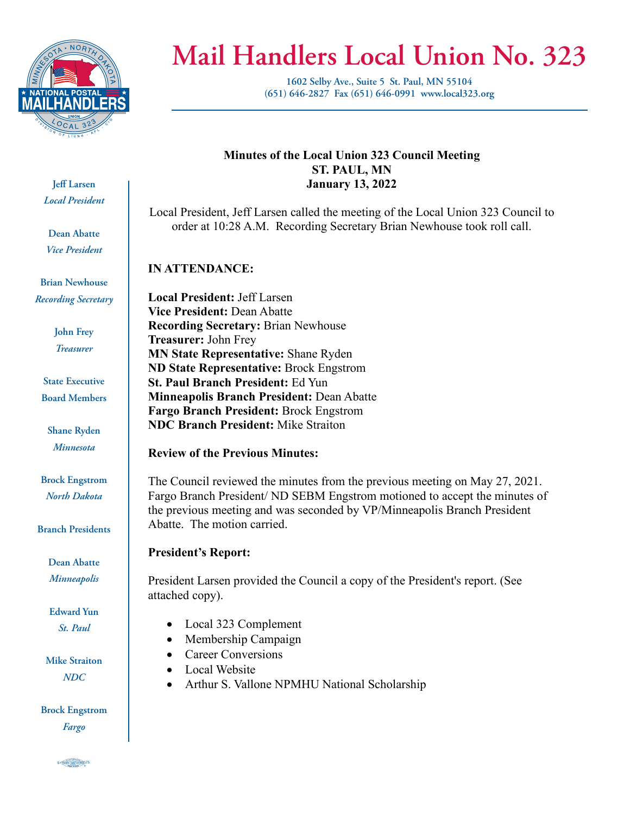

# **Mail Handlers Local Union No. 323**

**1602 Selby Ave., Suite 5 St. Paul, MN 55104 (651) 646-2827 Fax (651) 646-0991 www.local323.org**

# **Jeff Larsen** *Local President*

**Dean Abatte** *Vice President*

**Brian Newhouse** *Recording Secretary*

> **John Frey** *Treasurer*

**State Executive Board Members**

**Shane Ryden** *Minnesota*

**Brock Engstrom** *North Dakota*

**Branch Presidents**

**Dean Abatte** *Minneapolis*

**Edward Yun** *St. Paul*

**Mike Straiton** *NDC*

**Brock Engstrom** *Fargo*

## **Minutes of the Local Union 323 Council Meeting ST. PAUL, MN January 13, 2022**

Local President, Jeff Larsen called the meeting of the Local Union 323 Council to order at 10:28 A.M. Recording Secretary Brian Newhouse took roll call.

# **IN ATTENDANCE:**

**Local President:** Jeff Larsen **Vice President:** Dean Abatte **Recording Secretary:** Brian Newhouse **Treasurer:** John Frey **MN State Representative:** Shane Ryden **ND State Representative:** Brock Engstrom **St. Paul Branch President:** Ed Yun **Minneapolis Branch President:** Dean Abatte **Fargo Branch President:** Brock Engstrom **NDC Branch President:** Mike Straiton

## **Review of the Previous Minutes:**

The Council reviewed the minutes from the previous meeting on May 27, 2021. Fargo Branch President/ ND SEBM Engstrom motioned to accept the minutes of the previous meeting and was seconded by VP/Minneapolis Branch President Abatte. The motion carried.

## **President's Report:**

President Larsen provided the Council a copy of the President's report. (See attached copy).

- Local 323 Complement
- Membership Campaign
- Career Conversions
- Local Website
- Arthur S. Vallone NPMHU National Scholarship

S CRADIT MARICOURTY 5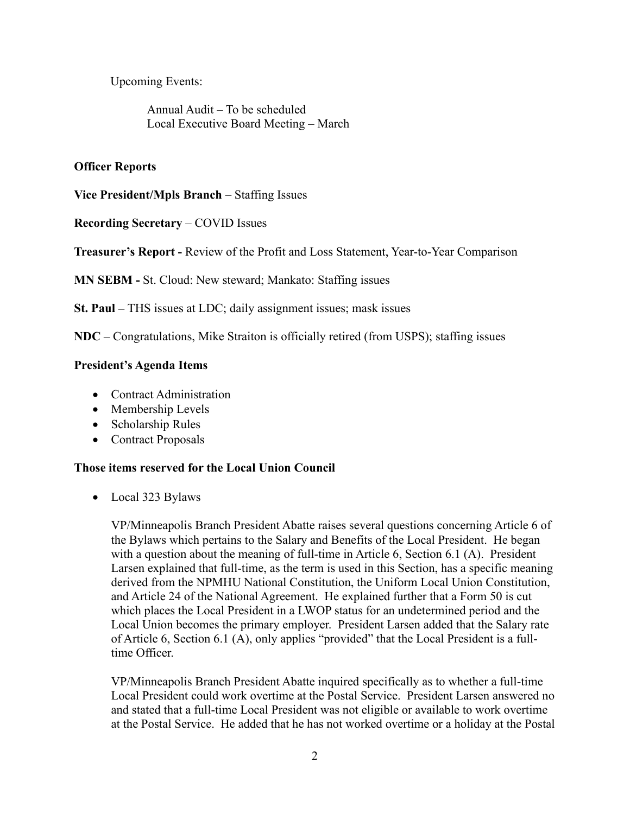Upcoming Events:

Annual Audit – To be scheduled Local Executive Board Meeting – March

#### **Officer Reports**

**Vice President/Mpls Branch** – Staffing Issues

**Recording Secretary** – COVID Issues

**Treasurer's Report -** Review of the Profit and Loss Statement, Year-to-Year Comparison

**MN SEBM -** St. Cloud: New steward; Mankato: Staffing issues

**St. Paul –** THS issues at LDC; daily assignment issues; mask issues

**NDC** – Congratulations, Mike Straiton is officially retired (from USPS); staffing issues

#### **President's Agenda Items**

- Contract Administration
- Membership Levels
- Scholarship Rules
- Contract Proposals

#### **Those items reserved for the Local Union Council**

• Local 323 Bylaws

VP/Minneapolis Branch President Abatte raises several questions concerning Article 6 of the Bylaws which pertains to the Salary and Benefits of the Local President. He began with a question about the meaning of full-time in Article 6, Section 6.1 (A). President Larsen explained that full-time, as the term is used in this Section, has a specific meaning derived from the NPMHU National Constitution, the Uniform Local Union Constitution, and Article 24 of the National Agreement. He explained further that a Form 50 is cut which places the Local President in a LWOP status for an undetermined period and the Local Union becomes the primary employer. President Larsen added that the Salary rate of Article 6, Section 6.1 (A), only applies "provided" that the Local President is a fulltime Officer.

VP/Minneapolis Branch President Abatte inquired specifically as to whether a full-time Local President could work overtime at the Postal Service. President Larsen answered no and stated that a full-time Local President was not eligible or available to work overtime at the Postal Service. He added that he has not worked overtime or a holiday at the Postal